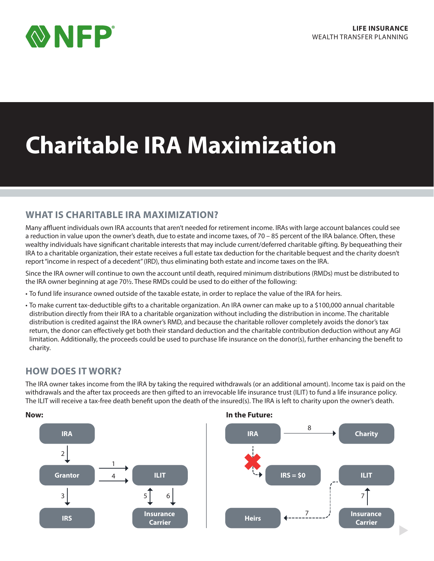

# **Charitable IRA Maximization**

## **WHAT IS CHARITABLE IRA MAXIMIZATION?**

Many affluent individuals own IRA accounts that aren't needed for retirement income. IRAs with large account balances could see a reduction in value upon the owner's death, due to estate and income taxes, of 70 – 85 percent of the IRA balance. Often, these wealthy individuals have significant charitable interests that may include current/deferred charitable gifting. By bequeathing their IRA to a charitable organization, their estate receives a full estate tax deduction for the charitable bequest and the charity doesn't report "income in respect of a decedent" (IRD), thus eliminating both estate and income taxes on the IRA.

Since the IRA owner will continue to own the account until death, required minimum distributions (RMDs) must be distributed to the IRA owner beginning at age 70½. These RMDs could be used to do either of the following:

- To fund life insurance owned outside of the taxable estate, in order to replace the value of the IRA for heirs.
- To make current tax-deductible gifts to a charitable organization. An IRA owner can make up to a \$100,000 annual charitable distribution directly from their IRA to a charitable organization without including the distribution in income. The charitable distribution is credited against the IRA owner's RMD, and because the charitable rollover completely avoids the donor's tax return, the donor can effectively get both their standard deduction and the charitable contribution deduction without any AGI limitation. Additionally, the proceeds could be used to purchase life insurance on the donor(s), further enhancing the benefit to charity.

# **HOW DOES IT WORK?**

The IRA owner takes income from the IRA by taking the required withdrawals (or an additional amount). Income tax is paid on the withdrawals and the after tax proceeds are then gifted to an irrevocable life insurance trust (ILIT) to fund a life insurance policy. The ILIT will receive a tax-free death benefit upon the death of the insured(s). The IRA is left to charity upon the owner's death.